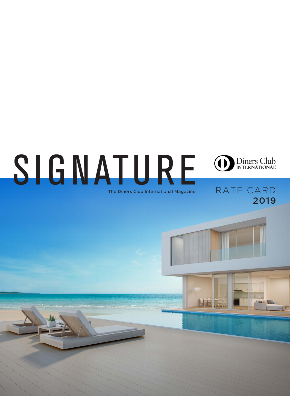# SIGNATURE





## RATE CARD 2019



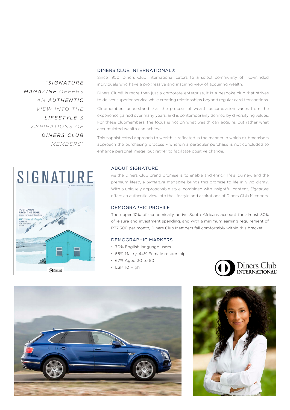*" S I G N AT U R E MAGAZINEOFFERS AN AUTHENTIC VIEW INTO THE LIFESTYLE & A S P I R AT I O N S O F DINERS CLUB MEMBERS"*

#### DINERS CLUB INTERNATIONAL®

Since 1950, Diners Club International caters to a select community of like-minded individuals who have a progressive and inspiring view of acquiring wealth.

Diners Club® is more than just a corporate enterprise, it is a bespoke club that strives to deliver superior service while creating relationships beyond regular card transactions.

Clubmembers understand that the process of wealth accumulation varies from the experience gained over many years, and is contemporarily defined by diversifying values. For these clubmembers, the focus is not on what wealth can acquire, but rather what accumulated wealth can achieve.

This sophisticated approach to wealth is reflected in the manner in which clubmembers approach the purchasing process – wherein a particular purchase is not concluded to enhance personal image, but rather to facilitate positive change.



#### ABOUT SIGNATURE

As the Diners Club brand promise is to enable and enrich life's journey, and the premium lifestyle *Signature* magazine brings this promise to life in vivid clarity. With a uniquely approachable style, combined with insightful content, *Signature* offers an authentic view into the lifestyle and aspirations of Diners Club Members.

#### DEMOGRAPHIC PROFILE

The upper 10% of economically active South Africans account for almost 50% of leisure and investment spending, and with a minimum earning requirement of R37,500 per month, Diners Club Members fall comfortably within this bracket.

#### DEMOGRAPHIC MARKERS

- 70% English language users
- 56% Male / 44% Female readership
- 67% Aged 30 to 50
- LSM 10 High